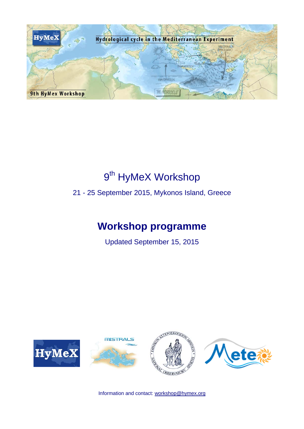

# 9<sup>th</sup> HyMeX Workshop

21 - 25 September 2015, Mykonos Island, Greece

## **Workshop programme**

**Updated September 15, 2015** 



Information and contact: workshop@hymex.org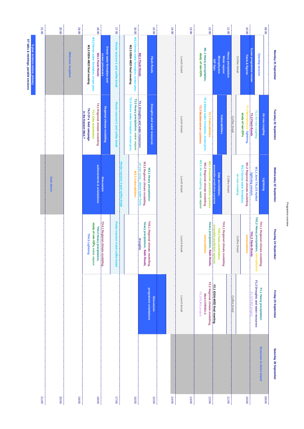| í |
|---|
|   |
|   |

| 19:00<br>20:00<br>18:00<br>M3.2 Dense water formation, ocean proc.<br>M3.3 IODA-MED final meeting<br>Dense water formation and<br>Welcome reception<br>M3.1 Flash-floods<br>ocean processes |       |       |                                                                                                               |                                  | 17:00<br>Poster session 1 and coffee break |                                   | 16:00<br>M2.1 Flash-floods<br>M2.2 Dense water formation, ocean proc.<br>M2.3 IODA-MED final meeting |                                                                      | 15:00<br>Flash-floods                       | 14:00 | Lunch break | 13:00 | study of rain IOPs                  | 12:00<br>M1.1 Heavy precipitation,                                  | <b>IOP Rain</b>             | Water vapour<br><b>Microphysics</b>                          | 11:00<br><b>Heavy precipitation</b> |              | Coffee break     | 10:00<br>Facts & figures                                       | 5-year programme review                            | <b>Opening session</b>                  | 00:60                              | Monday 21 September    |
|---------------------------------------------------------------------------------------------------------------------------------------------------------------------------------------------|-------|-------|---------------------------------------------------------------------------------------------------------------|----------------------------------|--------------------------------------------|-----------------------------------|------------------------------------------------------------------------------------------------------|----------------------------------------------------------------------|---------------------------------------------|-------|-------------|-------|-------------------------------------|---------------------------------------------------------------------|-----------------------------|--------------------------------------------------------------|-------------------------------------|--------------|------------------|----------------------------------------------------------------|----------------------------------------------------|-----------------------------------------|------------------------------------|------------------------|
|                                                                                                                                                                                             |       |       | T4.1 Regional climate modelling<br>T4.3 Of a field campaign<br>T4.2 Data assimilation<br>in the Eastern Med.? | Regional climate modelling       | Poster session 2 and coffee break          |                                   | T3.3 Dense water formation, ocean proc.<br>T3.2 Heavy precipitation, water vapour                    | T3.1 Droughts and water resources                                    | Droughts and water resources                |       | Lunch break |       | T2.3 Mediterranean cyclones         | T2.2 Dense water formation, ocean proc.<br>T2.1 Vulnerabilities     |                             | <b>Vulnerabilities</b>                                       |                                     | Coffee break |                  | study of rain IOPs                                             | T1.2 Flash-floods<br>T1.3 Microphysics, lightning, | T1.1 Air-sea coupling                   | Air-sea coupling                   | Tuesday 22 September   |
| Gala dinner                                                                                                                                                                                 |       |       | achievements & orientations                                                                                   | <b>Discussion</b>                |                                            | Poster session 3 and coffee break | W3.3 Vulnerabilities                                                                                 | W3.2 Regional climate modelling,<br>air-sea coup., dense water form. | W3.1 Heavy precipitation                    |       | Lunch break |       | W2.3 Air-sea coupling, water vapour | W2.1 Ensemble prediction systems<br>W2.2 Regional climate modelling | ensemble prediction systems | Data assimilation,                                           | Coffee break                        |              | air-sea coupling | W1.2 Regional climate modelling<br>W1.3 Dense water formation, | lightning session                                  | W1.1 Joint TALOS HyMeX                  | Lightning                          | Wednesday 23 September |
|                                                                                                                                                                                             |       |       | study of rain IOPs, water vapour<br>TH4.2 Heavy precipitation,<br>TH4.3 Lightning                             | TH4.1 Regional climate modelling | Poster session 4 and co<br>fee break<br>l  |                                   |                                                                                                      | heavy precipitation, flash-floods,<br>droughts                       | TH3.1 Regional climate<br>modelling,        |       | Lunch break |       |                                     | heavy precipitation, flash-floods,<br>vulnerabilities               | ensemble prediction systems | TH2.1 Regional climate modelling<br>TH2.2 Data assimilation, |                                     |              | Coffee break     | vulnerabilities                                                | TH1.3 Flash-floods                                 | TH1.2 Heavy precipitation, microphysics | TH1.1 Regional climate modelling   | Thusday 24 September   |
|                                                                                                                                                                                             |       |       |                                                                                                               |                                  |                                            |                                   |                                                                                                      |                                                                      | programme orientations<br><b>Discussion</b> |       | Lunch break |       | F2.3 FLIRE project                  | F2.2 Regional climate modelling,<br>Med-CORDEX-2                    | F2.11ODA-MED final meeting  |                                                              |                                     | Coffee break |                  |                                                                | 3 FLIRE projec                                     | F1.2 Droughts and water resources       | F1.1 Heavy precipitation           | Friday 25 September    |
|                                                                                                                                                                                             | 20:00 | 19:00 | 18:00                                                                                                         |                                  | 17:00                                      |                                   | 16:00                                                                                                |                                                                      | 15:00                                       | 14:00 |             | 13:00 |                                     | 12:00                                                               |                             |                                                              | 11:00                               |              |                  | 10:00                                                          |                                                    |                                         | Excursion to Delos island<br>06:00 | Saturday 26 September  |

ST talks & meetings, parallel sessions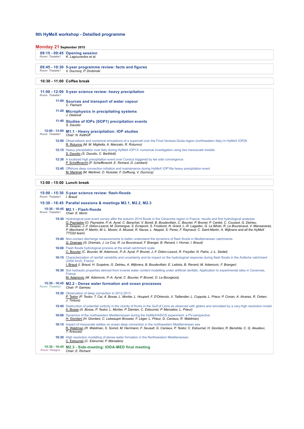#### **9th HyMeX workshop - Detailled programme**

#### **Monday 21 September 2015**

|                 | 09:15 - 09:45 Opening session |
|-----------------|-------------------------------|
| Room: Thalatta1 | K. Lagouvardos et al.         |

**09:45 - 10:30** *Room: Thalatta1* **5-year programme review: facts and figures** *V. Ducrocq, P. Drobinski*

#### **10:30 - 11:00 Coffee break**

**11:00 - 12:00 5-year science review: heavy precipitation** *Room: Thalatta1* **11:00 Sources and transport of water vapour** *C. Flamant* **11:20 Microphysics in precipitating systems** *J. Delanoë* **11:40 Studies of IOPs (SOP1) precipitation events** *S. Davolio* **12:00 - 13:00** *Room: Thalatta1* **M1.1 - Heavy precipitation: IOP studies** *Chair: N. Kalthoff* **12:00** Observations and numerical simulations of a supercell over the Friuli-Venezia Giulia region (northeastern Italy) in HyMeX IOP2b R. Rotunno *(M. M. Miglietta, A. Manzato, R. Rotunno)* **12:15** Heavy precipitation over Italy during HyMeX IOP13: numerical investigation using two mesoscale models S. Davolio *(S. Davolio, C. Barthlott)* **12:30** A localized high precipitation event over Corsica triggered by lee side convergence P. Scheffknecht *(P. Scheffknecht, E. Richard, D. Lambert)* **12:45** Offshore deep convection initiation and maintenance during HyMeX IOP16a heavy precipitation event M. Martinet *(M. Martinet, O. Nuissier, F. Duffourg, V. Ducrocq)*

| Room: Thalatta1 I. Braud | 15:00 - 15:30 5-year science review: flash-floods                                                                                                                                                                                                                                                                                                                                                                                                                                                                                                                                                        |
|--------------------------|----------------------------------------------------------------------------------------------------------------------------------------------------------------------------------------------------------------------------------------------------------------------------------------------------------------------------------------------------------------------------------------------------------------------------------------------------------------------------------------------------------------------------------------------------------------------------------------------------------|
|                          | 15:30 - 16:45 Parallel sessions & meetings M2.1, M2.2, M2.3                                                                                                                                                                                                                                                                                                                                                                                                                                                                                                                                              |
| Room: Thalatta1          | 15:30 - 16:45 M2.1 - Flash-floods<br>Chair: E. Morin                                                                                                                                                                                                                                                                                                                                                                                                                                                                                                                                                     |
|                          | 15:30 Hydrological post event survey after the autumn 2014 floods in the Cévennes region in France: results and first hydrological analyses<br>O. Payrastre (O. Payrastre, P.-A. Ayral, C. Barachet, V. Borell, B. Boudevillain, C. Bouvier, P. Brunet, P. Cantet, C. Coussot, G. Delrieu,<br>A. Despax, J.-F. Didon-Lescot, M. Domergue, S. Ecrepont, S. Froidurot, N. Grard, L.-R. Lagadec, G. Le Bihan, R. Le Boursicaud, V. Mansanarez,<br>P. Marchand, P. Martin, M.-L. Mosini, A. Mosset, R. Navas, L. Neppel, S. Perez, F. Raynaud, C. Saint-Martin, A. Wijbrans and all the HyMeX<br>TTO2d team) |
|                          | 15:45 Non-contact discharge measurements to better understand the dynamics of flash floods in Mediterranean catchments<br>G. Dramais (G. Dramais, J. Le Coz, R. Le Boursicaud, F. Branger, B. Renard, I. Horner, I. Braud)                                                                                                                                                                                                                                                                                                                                                                               |
|                          | 16:00 Flash floods hydrological process at the small catchment scale<br>C. Bouvier (C. Bouvier, M. Adamovic, P.-A. Ayral, P. Brunet, J.-F. Didon-Lescot, R. Freydier, N. Patris, J.-L. Seidel)                                                                                                                                                                                                                                                                                                                                                                                                           |
|                          | 16:15 Characterization of rainfall variability and uncertainty and its impact on the hydrological response during flash floods in the Ardèche catchment<br>(2300 km2). France<br>I. Braud (I. Braud, H. Suspène, G. Delrieu, A. Wijbrans, B. Boudevillain, E. Leblois, B. Renard, M. Adamovic, F. Branger)                                                                                                                                                                                                                                                                                               |
|                          | 16:30 Soil hydraulic properties derived from inverse water content modelling under artificial rainfalls. Application to experimental sites in Cevennes,<br>France<br>M. Adamovic (M. Adamovic, P.-A. Ayral, C. Bouvier, P. Brunet, O. Le Bourgeois)                                                                                                                                                                                                                                                                                                                                                      |
| Room: Thalatta2          | 15:30 - 16:45 M2.2 - Dense water formation and ocean processes<br>Chair: P. Garreau                                                                                                                                                                                                                                                                                                                                                                                                                                                                                                                      |
|                          | 15:30 Observation of deep convection in 2012-2013<br>P. Testor (P. Testor, T. Cai, A. Bosse, L. Mortier, L. Houpert, F. D'Ortenzio, V. Taillandier, L. Coppola, L. Prieur, P. Conan, A. Alvarez, R. Onken,<br>J. Tintore)                                                                                                                                                                                                                                                                                                                                                                                |
|                          | 15:45 Destruction of potential vorticity in the vicinity of fronts in the Gulf of Lions as observed with gliders and simulated by a very-high resolution model<br>A. Bosse (A. Bosse, P. Testor, L. Mortier, P. Damien, C. Estournel, P. Marsaleix, L. Prieur)                                                                                                                                                                                                                                                                                                                                           |
|                          | <b>16:00</b> Dynamics of the northwestern Mediterranean during the HyMeX/ASICS experiment: a PV-perspective<br>H. Giordani (H. Giordani, C. Lebeaupin Brossier, F. Léger, L. Prieur, G. Caniaux, R. Waldman)                                                                                                                                                                                                                                                                                                                                                                                             |
|                          | <b>16:15</b> Impact of mesoscale eddies on ocean deep convection in the northwestern Mediterranean sea<br>R. Waldman (R. Waldman, S. Somot, M. Herrmann, F. Sevault, G. Caniaux, P. Testor, C. Estournel, H. Giordani, R. Benshila, C. Q. Akuetevi,<br>T. Arsouze)                                                                                                                                                                                                                                                                                                                                       |
|                          | 16:30 High resolution modelling of dense water formation in the Northwestern Mediterranean<br>C. Estournel (C. Estournel, P. Marsaleix)                                                                                                                                                                                                                                                                                                                                                                                                                                                                  |
| Room: Pelagos            | 15:30 - 16:45 M2.3 - Side-meeting: IODA-MED final meeting<br>Chair: E. Richard                                                                                                                                                                                                                                                                                                                                                                                                                                                                                                                           |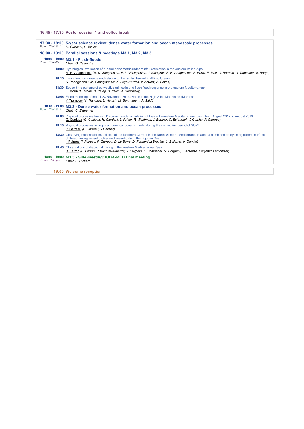**16:45 - 17:30 Poster session 1 and coffee break**

| Room: Thalatta1 | 17:30 - 18:00 5-year science review: dense water formation and ocean mesoscale processes<br>H. Giordani, P. Testor                                                                                                                                                                                                         |
|-----------------|----------------------------------------------------------------------------------------------------------------------------------------------------------------------------------------------------------------------------------------------------------------------------------------------------------------------------|
|                 | 18:00 - 19:00 Parallel sessions & meetings M3.1, M3.2, M3.3                                                                                                                                                                                                                                                                |
| Room: Thalatta1 | 18:00 - 19:00 M3.1 - Flash-floods<br>Chair: O. Pavrastre                                                                                                                                                                                                                                                                   |
|                 | 18:00 Hydrological evaluation of X-band polarimetric radar rainfall estimation in the eastern Italian Alps<br>M. N. Anagnostou (M. N. Anagnostou, E. I. Nikolopoulos, J. Kalogiros, E. N. Anagnostou, F. Marra, E. Mair, G. Bertoldi, U. Tappeiner, M. Borga)                                                              |
|                 | <b>18:15</b> Flash flood occurrence and relation to the rainfall hazard in Attica, Greece<br>K. Papagiannaki (K. Papagiannaki, K. Lagouvardos, V. Kotroni, A. Bezes)                                                                                                                                                       |
|                 | 18:30 Space-time patterns of convective rain cells and flash flood response in the eastern Mediterranean<br>E. Morin (E. Morin, N. Peleg, H. Yakir, M. Karklinsky)                                                                                                                                                         |
|                 | 18:45 Flood modeling of the 21-23 November 2014 events in the High-Atlas Mountains (Morocco)<br>Y. Tramblay (Y. Tramblay, L. Hanich, M. Benrhanem, A. Saidi)                                                                                                                                                               |
| Room: Thalatta2 | 18:00 - 19:00 M3.2 - Dense water formation and ocean processes<br>Chair: C. Estournel                                                                                                                                                                                                                                      |
|                 | 18:00 Physical processes from a 1D column model simulation of the north-western Mediterranean basin from August 2012 to August 2013<br>G. Caniaux (G. Caniaux, H. Giordani, L. Prieur, R. Waldman, J. Beuvier, C. Estournel, V. Garnier, P. Garreau)                                                                       |
|                 | 18:15 Physical processes acting in a numerical oceanic model during the convection period of SOP2<br>P. Garreau (P. Garreau, V. Garnier)                                                                                                                                                                                   |
|                 | 18:30 Observing mesoscale instabilities of the Northern Current in the North Western Mediterranean Sea : a combined study using gliders, surface<br>drifters, moving vessel profiler and vessel data in the Ligurian Sea<br>I. Pairaud (I. Pairaud, P. Garreau, D. Le Berre, D. Fernandez Bruyère, L. Bellomo, V. Garnier) |
|                 | <b>18:45</b> Observations of diapycnal mixing in the western Mediterranean Sea<br>B. Ferron (B. Ferron, P. Bouruet-Aubertot, Y. Cuypers, K. Schroeder, M. Borghini, T. Arsouze, Benjamin Lemonnier)                                                                                                                        |
| Room: Pelagos   | 18:00 - 19:00 M3.3 - Side-meeting: IODA-MED final meeting<br>Chair: E. Richard                                                                                                                                                                                                                                             |

**19:00 Welcome reception**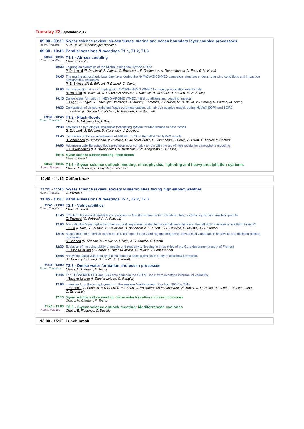## **Tuesday 22 September 2015**

| Room: Thalatta1 | 09:00 - 09:30 5-year science review: air-sea fluxes, marine and ocean boundary layer coupled processses<br>M.N. Bouin, C. Lebeaupin-Brossier                                                                              |
|-----------------|---------------------------------------------------------------------------------------------------------------------------------------------------------------------------------------------------------------------------|
|                 | 09:30 - 10:45 Parallel sessions & meetings T1.1, T1.2, T1.3                                                                                                                                                               |
| Room: Thalatta1 | 09:30 - 10:45 T1.1 - Air-sea coupling<br>Chair: S. Bastin                                                                                                                                                                 |
|                 | 09:30 Lagrangian dynamics of the Mistral during the HyMeX SOP2<br>P. Drobinski (P. Drobinski, B. Alonzo, C. Basdevant, P. Cocquerez, A. Doerenbecher, N. Fourrié, M. Nuret)                                               |
|                 | 09:45 The marine atmospheric boundary layer during the HyMeX/ASICS-MED campaign: structure under strong wind conditions and impact on<br>turbulent flux estimates<br>P.-E. Brilouet (P.-E. Brilouet, P. Durand, G. Canut) |
|                 | 10:00 High-resolution air-sea coupling with AROME-NEMO WMED for heavy precipitation event study<br>R. Rainaud (R. Rainaud, C. Lebeaupin Brossier, V. Ducrocq, H. Giordani, N. Fourrié, M.-N. Bouin)                       |
|                 | 10:15 Dense water formation in NEMO-AROME WMED: initial conditions and coupling impacts<br>F. Léger (F. Léger, C. Lebeaupin Brossier, H. Giordani, T. Arsouze, J. Beuvier, M.-N. Bouin, V. Ducroca, N. Fourrié, M. Nuret) |
|                 | 10:30 Comparison of air-sea turbulent fluxes parameterization, with air-sea coupled model, during HyMeX SOP1 and SOP2<br>L. Seyfried (L. Seyfried, E. Richard, P. Marsaleix, C. Estournel)                                |
| Room: Thalatta2 | 09:30 - 10:45 T1.2 - Flash-floods<br>Chairs: E. Nikolopoulos, I. Braud                                                                                                                                                    |
|                 | 09:30 Towards an hydrological ensemble forecasting system for Mediterranean flash floods<br>S. Edouard (S. Edouard, B. Vincendon, V. Ducrocq)                                                                             |
|                 | 09:45 Hydrometeorological assessment of AROME EPS on the fall 2014 HyMeX events<br>B. Vincendon (B. Vincendon, V. Ducrocq, C. de Saint-Aubin, L. Garandeau, L. Brech, A. Lovat, G. Larvor, P. Gastrin)                    |
|                 | 10:00 Advancing satellite-based flood prediction over complex terrain with the aid of high-resolution atmospheric modeling<br>E.I. Nikolopoulos (E.I. Nikolopoulos, N. Bartsotas, E.N. Anagnostou, G. Kallos)             |
|                 | 10:15 5-year science outlook meeting: flash-floods<br>Chair: I. Braud                                                                                                                                                     |
| Room: Pelagos   | 09:30 - 10:45 T1.3 - 5-year science outlook meeting: microphysics, lightning and heavy precipitation systems<br>Chairs: J. Delanoë, S. Coquillat, E. Richard                                                              |

**10:45 - 11:15 Coffee break**

| Room: Thalatta1         | 11:15 - 11:45 5-year science review: society vulnerabilities facing high-impact weather<br>O. Petrucci                                                                                                                                                              |
|-------------------------|---------------------------------------------------------------------------------------------------------------------------------------------------------------------------------------------------------------------------------------------------------------------|
|                         | 11:45 - 13:00 Parallel sessions & meetings T2.1, T2.2, T2.3                                                                                                                                                                                                         |
| Room: Thalatta1         | 11:45 - 13:00 T2.1 - Vulnerabilities<br>Chair: C. Llasat                                                                                                                                                                                                            |
|                         | 11:45 Effects of floods and landslides on people in a Mediterranean region (Calabria, Italy): victims, injured and involved people<br>O. Petrucci (O. Petrucci, A. A. Pasqua)                                                                                       |
|                         | 12:00 Are individual's perceptual and behavioural responses related to the rainfall severity during the fall 2014 episodes in southern France?<br>I. Ruin (I. Ruin, V. Tournon, C. Cavalière, B. Boudevillain, C. Lutoff, P.-A. Davoine, G. Molinié, J.-D. Creutin) |
|                         | 12:15 Assessment of motorists' exposure to flash floods in the Gard region: integrating travel-activity adaptation behaviors and decision-making<br>processes<br>S. Shabou (S. Shabou, S. Debionne, I. Ruin, J.-D. Creutin, C. Lutoff)                              |
|                         | 12:30 Evolution of the vulnerability of people and property to flooding in three cities of the Gard department (south of France)<br>E. Dubos-Paillard (J. Boulier, E. Dubos-Paillard, A. Pavard, V. Sanseverino)                                                    |
|                         | 12:45 Analyzing social vulnerability to flash floods: a sociological case study of residential practices<br>S. Durand (S. Durand, C. Lutoff, S. Duvillard)                                                                                                          |
| Room: Thalatta2         | 11:45 - 13:00 T2.2 - Dense water formation and ocean processes<br>Chairs: H. Giordani, P. Testor                                                                                                                                                                    |
|                         | 11:45 The TRANSMED SST and SSS time series in the Gulf of Lions: from events to interannual variability<br>I. Taupier-Letage (I. Taupier-Letage, G. Rougier)                                                                                                        |
|                         | 12:00 Intensive Argo floats deployments in the western Mediterranean Sea from 2012 to 2015<br>L. Coppola (L. Coppola, F. D'Ortenzio, P. Conan, O. Pasqueron de Fommervault, N. Mayot, S. Le Reste, P. Testor, I. Taupier- Letage,<br>C. Estournel)                  |
|                         | 12:15 5-year science outlook meeting: dense water formation and ocean processes<br>Chairs: H. Giordani, P. Testor                                                                                                                                                   |
| Room: Pelagos           | 11:45 - 13:00 T2.3 - 5-year science outlook meeting: Mediterranean cyclones<br>Chairs: E. Flaounas, S. Davolio                                                                                                                                                      |
| $10.00$ $17.00$ $1$ $1$ |                                                                                                                                                                                                                                                                     |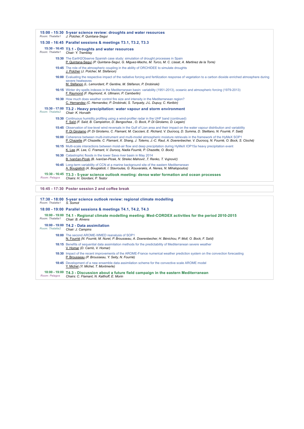| Room: Thalatta1 | 15:00 - 15:30 5-year science review: droughts and water resources<br>J. Polcher, P. Quintana-Sequi                                                                                                                                                                        |
|-----------------|---------------------------------------------------------------------------------------------------------------------------------------------------------------------------------------------------------------------------------------------------------------------------|
|                 | 15:30 - 16:45 Parallel sessions & meetings T3.1, T3.2, T3.3                                                                                                                                                                                                               |
| Room: Thalatta1 | 15:30 - 16:45 T3.1 - Droughts and water resources<br>Chair: Y. Tramblay                                                                                                                                                                                                   |
|                 | 15:30 The EartH2Observe Spanish case study: simulation of drought processes in Spain<br>P. Quintana-Sequí (P. Quintana-Sequí, G. Miquez-Macho, M. Turco, M. C. Llasat, A. Martinez de la Torre)                                                                           |
|                 | <b>15:45</b> The role of the atmospheric coupling in the ability of ORCHIDEE to simulate droughts<br>J. Polcher (J. Polcher, M. Stefanon)                                                                                                                                 |
|                 | 16:00 Evaluating the respective impact of the radiative forcing and fertilization response of vegetation to a carbon dioxide enriched atmosphere during<br>severe heatwayes<br>M. Stéfanon (L. Lemordant, P. Gentine, M. Stéfanon, P. Drobinski)                          |
|                 | 16:15 Winter dry spells indexes in the Mediterranean basin: variability (1951-2013), oceanic and atmospheric forcing (1979-2013)<br>F. Raymond (F. Raymond, A. Ullmann, P. Camberlin)                                                                                     |
|                 | 16:30 How much does weather control fire size and intensity in the Mediterranean region?<br>C. Hernandez (C. Hernandez, P. Drobinski, S. Turquety, J-L. Dupuy, C. Keribin)                                                                                                |
|                 |                                                                                                                                                                                                                                                                           |
| Room: Thalatta2 | 15:30 - 17:00 T3.2 - Heavy precipitation: water vapour and storm environment<br>Chair: K. Horvath                                                                                                                                                                         |
|                 | 15:30 Continuous humidity profiling using a wind-profiler radar in the UHF band (continued)<br>F. Saïd (F. Saïd, B. Campistron, D. Bengochea, O. Bock, P. Di Girolamo, D. Legain)                                                                                         |
|                 | 15:45 Observation of low-level wind reversals in the Gulf of Lion area and their impact on the water vapour distribution and variability<br>P. Di Girolamo (P. Di Girolamo, C. Flamant, M. Cacciani, E. Richard, V. Ducrocq, D. Summa, D. Stelitano, N. Fourrié, F. Said) |
|                 | 16:00 Coherence between multi-instrument and multi-model atmospheric moisture retrievals in the framework of the HyMeX SOP1<br>P. Chazette (P. Chazette, C. Flamant, X. Shang, J. Totems, J.-C. Raut, A. Doerenbecher, V. Ducrocq, N. Fourrié, O. Bock, S. Cloché)        |
|                 | 16:15 Multi-scale interactions between moist-air flow and deep precipitation during HyMeX IOP15a heavy precipitation event<br>K. Lee (K. Lee, C. Framant, V. Durocq, Nadia Fourrié, P. Chazette, O. Bock)                                                                 |
|                 | 16:30 Catastrophic floods in the lower Sava river basin in May 2014<br>B. Ivančan-Picek (B. Ivančan-Picek, N. Strelec Mahović, T. Renko, T. Vujnović)                                                                                                                     |
|                 | <b>16:45</b> Long-term variability of CCN at a marine background site of the eastern Mediterranean<br>A. Bougiatioti (A. Bougiatioti, I. Stavroulas, G. Kouvarakis, A. Nenes, N. Mihalopoulos)                                                                            |

**16:45 - 17:30 Poster session 2 and coffee break**

| Room: Thalatta1                | 17:30 - 18:00 5-year science outlook review: regional climate modelling<br>S. Somot                                                                                                       |
|--------------------------------|-------------------------------------------------------------------------------------------------------------------------------------------------------------------------------------------|
|                                | 18:00 - 19:00 Parallel sessions & meetings T4.1, T4.2, T4.3                                                                                                                               |
| Room: Thalatta1                | 18:00 - 19:00 T4.1 - Regional climate modelling meeting: Med-CORDEX activities for the period 2010-2015<br>Chair: B. Ahrens                                                               |
| Room: Thalatta2                | 18:00 - 19:00 T4.2 - Data assimilation<br>Chair: J. Campins                                                                                                                               |
|                                | <b>18:00</b> The second AROME-WMED reanalysis of SOP1<br>N. Fourrié (N. Fourrié, M. Nuret, P. Brousseau, A. Doerenbecher, H. Bénichou, P. Moll, O. Bock, F. Saïd)                         |
|                                | <b>18:15</b> Benefits of sequential data assimilation methods for the predictability of Mediterranean severe weather<br>V. Homar (D. Carrió, V. Homar)                                    |
|                                | <b>18:30</b> Impact of the recent improvements of the AROME-France numerical weather prediction system on the convection forecasting<br>P. Brousseau (P. Brousseau, Y. Seity, N. Fourrié) |
|                                | <b>18:45</b> Development of a new ensemble data assimilation scheme for the convective scale AROME model<br>Y. Michel (Y. Michel, T. Montmerle)                                           |
| 18:00 - 19:00<br>Room: Pelagos | T4.3 - Discussion about a future field campaign in the eastern Mediterranean<br>Chairs: C. Flamant, N. Kalthoff, E. Morin                                                                 |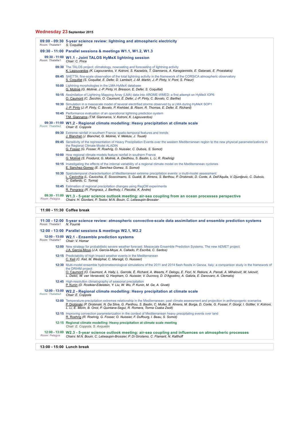## **Wednesday 23 September 2015**

| Room: Thalatta1 | 09:00 - 09:30 5-year science review: lightning and atmospheric electricity<br>S. Coquillat                                                                                                                                                                                                 |
|-----------------|--------------------------------------------------------------------------------------------------------------------------------------------------------------------------------------------------------------------------------------------------------------------------------------------|
|                 | 09:30 - 11:00 Parallel sessions & meetings W1.1, W1.2, W1.3                                                                                                                                                                                                                                |
| Room: Thalatta1 | 09:30 - 11:00 W1.1 - Joint TALOS HyMeX lightning session<br>Chair: C. Price                                                                                                                                                                                                                |
|                 | 09:30 The TALOS project: climatology, nowcasting and forecasting of lightning activity<br>K. Lagouvardos (K. Lagouvardos, V. Kotroni, S. Kazadzis, T. Giannaros, A. Karagiannidis, E. Galanaki, E. Proestakis)                                                                             |
|                 | 09:45 SAETTA: fine-scale observation of the total lightning activity in the framework of the CORSiCA atmospheric observatory<br>S. Coquillat (S. Coquillat, E. Defer, D. Lambert, J.-M. Martin, J.-P. Pinty, V. Pont, S. Prieur)                                                           |
|                 | 10:00 Lightning morphologies in the LMA-HyMeX database<br>G. Molinié (G. Molinié, J.-P. Pinty, H. Bresson, E. Defer, S. Coquillat)                                                                                                                                                         |
|                 | 10:15 Assimilation of Lightning Mapping Array (LMA) data into AROME-WMED: a first attempt on HyMeX IOP6<br>O. Caumont (C. Zecchin, O. Caumont, É. Defer, J.-P. Pinty, C. Bovalo, C. Barthe)                                                                                                |
|                 | 10:30 Simulation in a mesoscale model of several electrified storms observed by a LMA during HyMeX SOP1<br>J.-P. Pinty (J.-P. Pinty, C. Bovalo, P. Krehbiel, B. Rison, R. Thomas, E. Defer, E. Richard)                                                                                    |
|                 | 10:45 Performance evaluation of an operational lightning prediction system<br>T.M. Giannaros (T.M. Giannaros, V. Kotroni, K. Lagouvardos)                                                                                                                                                  |
| Room: Thalatta2 | 09:30 - 11:00 W1.2 - Regional climate modelling: Heavy precipitation at climate scale<br>Chair: E. Coppola                                                                                                                                                                                 |
|                 | 09:30 Extreme rainfall in southern France: spatio-temporal features and trends<br>J. Blanchet (J. Blanchet, G. Molinié, V. Mélèze, J. Touati)                                                                                                                                              |
|                 | 09:45 Sensitivity of the representation of Heavy Precipitation Events over the western Mediterranean region to the new physical parameterizations in<br>the Regional Climate Model ALADIN<br>G. Fosser (G. Fosser, R. Roehrig, O. Nuissier, C. Dubois, S. Somot)                           |
|                 | 10:00 How regional climate models feature rainfall in southern France<br>G. Molinié (S. Froidurot, G. Molinié, A. Diedhiou, S. Bastin, L. Li, R. Roehrig)                                                                                                                                  |
|                 | 10:15 Investigating the effects of the internal variability of a regional climate model on the Mediterranean cyclones<br>E. Sanchez-Gomez (E. Sanchez-Gomez, S. Somot)                                                                                                                     |
|                 | 10:30 Spatiotemporal characterisation of Mediterranean extreme precipitation events: a multi-model assessment<br>L. Cavicchia (L. Cavicchia, E. Scoccimarro, S. Gualdi, B. Ahrens, S. Berthou, P. Drobinski, D. Conte, A. Dell'Aquila, V. Djurdjevic, C. Dubois,<br>C. Gallardo, C. Torma) |
|                 | <b>10:45</b> Estimation of regional precipitation changes using RegCM experiments<br>R. Pongracz (R. Pongracz, J. Bartholy, I. Pieczka, K. Andre)                                                                                                                                          |
| Room: Pelagos   | 09:30 - 11:00 W1.3 - 5-year science outlook meeting: air-sea coupling from an ocean processes perspective<br>Chairs: H. Giordani, P. Testor, M.N. Bouin, C. Lebeaupin-Brossier                                                                                                             |

#### **11:00 - 11:30 Coffee break**

| Room: Thalatta1 | 11:30 - 12:00 5-year science review: atmospheric convective-scale data assimilation and ensemble prediction systems<br>N. Fourrié                                                                                                                                                                                                                                                      |
|-----------------|----------------------------------------------------------------------------------------------------------------------------------------------------------------------------------------------------------------------------------------------------------------------------------------------------------------------------------------------------------------------------------------|
|                 | 12:00 - 13:00 Parallel sessions & meetings W2.1, W2.2                                                                                                                                                                                                                                                                                                                                  |
| Room: Thalatta1 | 12:00 - 13:00 W2.1 - Ensemble prediction systems<br>Chair: V. Homar                                                                                                                                                                                                                                                                                                                    |
|                 | 12:00 New strategy for probabilistic severe weather forecast: Mesoscale Ensemble Prediction Systems. The new AEMET project.<br>J.A. García-Moya (J.A. García-Moya, A. Callado, P. Escribà, C. Santos)                                                                                                                                                                                  |
|                 | <b>12:15</b> Predictability of high impact weather events in the Mediterranean<br>C. Keil (C. Keil, M. Westphal, C. Marsigli, O. Nuissier)                                                                                                                                                                                                                                             |
|                 | 12:30 Multi-model ensemble hydrometeorological simulations of the 2011 and 2014 flash floods in Genoa, Italy: a comparison study in the framework of<br>the DRIHM project<br>O. Caumont (O. Caumont, A. Hally, L. Garrote, É. Richard, A. Weerts, F. Delogu, E. Fiori, N. Rebora, A. Parodi, A. Mihalović, M. Ivković,                                                                 |
|                 | L. Dekić, W. van Verseveld, Q. Harpham, O. Nuissier, V. Ducroca, D. D'Agostino, A. Galizia, E. Danovaro, A. Clematis)                                                                                                                                                                                                                                                                  |
|                 | 12:45 High-resolution climatography of seasonal precipitation<br>P. Kunin (D. Rostkier-Edelstein, Y. Liu, W. Wu, P. Kunin, M. Ge, A. Givati)                                                                                                                                                                                                                                           |
| Room: Thalatta2 | 12:00 - 13:00 W2.2 - Regional climate modelling: Heavy precipitation at climate scale<br>Chair: E. Coppola                                                                                                                                                                                                                                                                             |
|                 | 12:00 Temperature-precipitation extremes relationship in the Mediterranean: past climate assessment and projection in anthropogenic scenarios<br>P. Drobinski (P. Drobinski, N. Da Silva, G. Panthou, S. Bastin, C. Muller, B. Ahrens, M. Borga, D. Conte, G. Fosser, F. Giorgi, I. Güttler, V. Kotroni,<br>L. Li. E. Morin, B. Onol. P. Quintana-Segui, R. Romera, Torma Csaba Zsolt) |
|                 | 12:15 Improving convection parameterization in the context of Mediterranean heavy precipitating events over land<br>R. Roehrig (R. Roehrig, G. Fosser, O. Nuissier, F. Duffourg, I. Beau, S. Somot)                                                                                                                                                                                    |
|                 | 12:15 Regional climate modelling: Heavy precipitation at climate scale meeting<br>Chair: E. Coppola, S. Anguetin                                                                                                                                                                                                                                                                       |
| Room: Pelagos   | 12:00 - 13:00 W2.3 - 5-year science outlook meeting: air-sea coupling and influences on atmospheric processes<br>Chairs: M.N. Bouin, C. Lebeaupin-Brossier, P. Di Girolamo, C. Flamant, N. Kalthoff                                                                                                                                                                                    |
|                 |                                                                                                                                                                                                                                                                                                                                                                                        |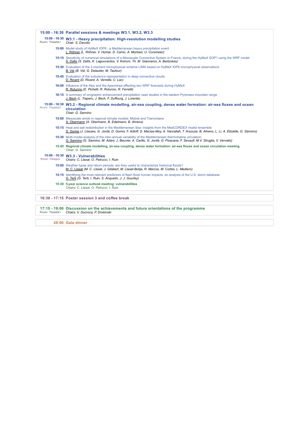|                 | 15:00 - 16:30 Parallel sessions & meetings W3.1, W3.2, W3.3                                                                                                                                                                                         |
|-----------------|-----------------------------------------------------------------------------------------------------------------------------------------------------------------------------------------------------------------------------------------------------|
| Room: Thalatta1 | 15:00 - 16:30 W3.1 - Heavy precipitation: High-resolution modelling studies<br>Chair: S. Davolio                                                                                                                                                    |
|                 | 15:00 Model study of HyMeX IOP8 - a Mediterranean heavy precipitation event<br>L. Röhner (L. Röhner, V. Homar, D. Carrio, A. Montani, U. Corsmeier)                                                                                                 |
|                 | 15:15 Sensitivity of numerical simulations of a Mesoscale Convective System in France, during the HyMeX SOP1 using the WRF model<br>S. Dafis (S. Dafis, K. Lagouvardos, V. Kotroni, Th. M. Giannaros, A. Bartzokas)                                 |
|                 | 15:30 Evaluation of the 2-moment microphysical scheme LIMA based on HyMeX IOP6 microphysical observations<br>B. Vié (B. Vié, G. Delautier, M. Taufour)                                                                                              |
|                 | <b>15:45</b> Evaluation of the turbulence representation in deep convective clouds<br>D. Ricard (D. Ricard, A. Verrelle, C. Lac)                                                                                                                    |
|                 | <b>16:00</b> Influence of the Alps and the Apennines effecting two WRF forecasts during HyMeX<br>R. Rotunno (E. Pichelli, R. Rotunno, R. Ferretti)                                                                                                  |
|                 | <b>16:15</b> A summary of orographic enhancement precipitation case studies in the eastern Pyrenees mountain range<br>J. Bech (L. Trapero, J. Bech, F. Duffourg, J. Lorente)                                                                        |
| Room: Thalatta2 | 15:00 - 16:30 W3.2 - Regional climate modelling, air-sea coupling, dense water formation: air-sea fluxes and ocean<br>circulation<br>Chair: G. Sannino                                                                                              |
|                 | 15:00 Mesoscale winds in regional climate models: Mistral and Tramontane<br>A. Obermann (A. Obermann, B. Edelmann, B. Ahrens)                                                                                                                       |
|                 | 15:15 Heat and salt redistribution in the Mediterranean Sea: insights from the MedCORDEX model ensemble<br>D. Gomis (J. Llasses, G. Jordà, D. Gomis, F. Adloff, D. Macías-Moy, A. Harzallah, T. Arsouze, B. Ahrens, L. Li, A. Elizalde, G. Sannino) |
|                 | 15:30 Multi-model analysis of the inter-annual variability of the Mediterranean thermohaline circulation<br>G. Sannino (G. Sannino, M. Adani, J. Beuvier, A. Carillo, G. Jordà, G. Pisacane, F. Sevault, M.V. Struglia, V. Vervatis)                |
|                 | 15:45 Regional climate modelling, air-sea coupling, dense water formation: air-sea fluxes and ocean circulation meeting<br>Chair: G. Sannino                                                                                                        |
| Room: Pelagos   | 15:00 - 16:30 W3.3 - Vulnerabilities<br>Chairs: C. Llasat, O. Petrucci, I. Ruin                                                                                                                                                                     |
|                 | <b>15:00</b> Weather types and return periods: are they useful to characterize historical floods?<br>M. C. Llasat (M. C. Llasat, J. Gilabert, M. Llasat-Botija, R. Marcos, M. Cortès, L. Mediero)                                                   |
|                 | 15:15 Identifying the most relevant predictors of flash flood human impacts: an analysis of the U.S. storm database<br>G. Terti (G. Terti, I. Ruin, S. Anguetin, J. J. Gourley)                                                                     |
|                 | 15:30 5-year science outlook meeting: vulnerabilities<br>Chairs: C. Llasat, O. Petrucci, I. Ruin                                                                                                                                                    |
|                 |                                                                                                                                                                                                                                                     |
|                 | 16:30 - 17:15 Poster session 3 and coffee break                                                                                                                                                                                                     |
| Room: Thalatta1 | 17:15 - 19:00 Discussion on the achievements and future orientations of the programme<br>Chairs: V. Ducrocq, P. Drobinski                                                                                                                           |
|                 | 20:00 Gala dinner                                                                                                                                                                                                                                   |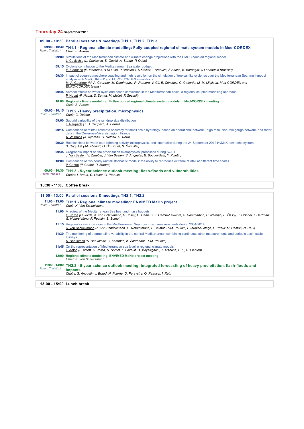## **Thursday 24 September 2015**

|                 | 09:00 - 10:30 Parallel sessions & meetings TH1.1, TH1.2, TH1.3                                                                                                                                                                                                                                                                                              |
|-----------------|-------------------------------------------------------------------------------------------------------------------------------------------------------------------------------------------------------------------------------------------------------------------------------------------------------------------------------------------------------------|
| Room: Thalatta1 | 09:00 - 10:30 TH1.1 - Regional climate modelling: Fully-coupled regional climate system models in Med-CORDEX<br>Chair: B. Ahrens                                                                                                                                                                                                                            |
|                 | 09:00 Simulations of the Mediterranean climate and climate change projections with the CMCC coupled regional model<br>L. Cavicchia (L. Cavicchia, S. Gualdi, A. Sanna, P. Oddo)                                                                                                                                                                             |
|                 | 09:15 Cyclone contribution to the Mediterranean Sea water budget<br>E. Flaounas (E. Flaounas, A Di Luca, P Drobinski, S Mailler, T Arsouze, S Bastin, K. Beranger, C Lebeaupin Brossier)                                                                                                                                                                    |
|                 | 09:30 Impact of ocean-atmosphere coupling and high resolution on the simulation of tropical-like cyclones over the Mediterranean Sea: multi-model<br>analysis with MedCORDEX and EURO-CORDEX simulations<br>M. A. Gaertner (M. Á. Gaertner, M. Domínguez, R. Romera, V. Gil, E. Sánchez, C. Gallardo, M. M. Miglietta, Med-CORDEX and<br>EURO-CORDEX teams) |
|                 | 09:45 Aerosol effects on water cycle and ocean convection in the Mediterranean basin: a regional coupled modelling approach<br>P. Nabat (P. Nabat, S. Somot, M. Mallet, F. Sevault)                                                                                                                                                                         |
|                 | 10:00 Regional climate modelling: Fully-coupled regional climate system models in Med-CORDEX meeting<br>Chair: B. Ahrens                                                                                                                                                                                                                                    |
| Room: Thalatta2 | 09:00 - 10:15 TH1.2 - Heavy precipitation, microphysics<br>Chair: G. Delrieu                                                                                                                                                                                                                                                                                |
|                 | 09:00 Subgrid variability of the raindrop size distribution<br>T. Raupach (T. H. Raupach, A. Berne)                                                                                                                                                                                                                                                         |
|                 | 09:15 Comparison of rainfall estimate accuracy for small scale hydrology, based on operational network-, high resolution rain gauge network- and radar<br>data in the Cévennes-Vivarais region, France<br>A. Wijbrans (A. Wijbrans, G. Delrieu, G. Nord)                                                                                                    |
|                 | 09:30 Relationships between total lightning activity, microphysics, and kinematics during the 24 September 2012 HyMeX bow-echo system<br>S. Coquillat (J-F. Ribaud, O. Bousquet, S. Coquillat)                                                                                                                                                              |
|                 | 09:45 Orographic impact on the precipitation microphysical processes during SOP1<br>J. Van Baelen (J. Zwiebel, J. Van Baelen, S. Anquetin, B. Boudevillain, Y. Pointin)                                                                                                                                                                                     |
|                 | 10:00 Comparison of two hourly rainfall stochastic models: the ability to reproduce extreme rainfall at different time scales<br>P. Cantet (P. Cantet, P. Arnaud)                                                                                                                                                                                           |
| Room: Pelagos   | 09:00 - 10:30 TH1.3 - 5-year science outlook meeting: flash-floods and vulnerabilities<br>Chairs: I. Braud, C. Llasat, O. Petrucci                                                                                                                                                                                                                          |

## **10:30 - 11:00 Coffee break**

|                 | 11:00 - 13:00 Parallel sessions & meetings TH2.1, TH2.2                                                                                                                                                                                                 |
|-----------------|---------------------------------------------------------------------------------------------------------------------------------------------------------------------------------------------------------------------------------------------------------|
| Room: Thalatta1 | 11:00 - 13:00 TH2.1 - Regional climate modelling: ENVIMED MaHb project<br>Chair: K. Von Schuckmann                                                                                                                                                      |
|                 | 11:00 A review of the Mediterranean Sea heat and mass budgets<br>G. Jordà (G. Jordà, K. von Schukmann, S. Josey, G. Caniaux, J. García-Lafuente, S. Sammartino, C. Naranjo, E. Özsoy, J. Polcher, I. Gertman,<br>G. Notarstefano, P. Poulain, S. Somot) |
|                 | 11:15 Regional ocean indicators in the Mediterranean Sea from in situ measurements during 2004-2014<br>K. von Schuckmann (K. von Schuckmann, G. Notarstefano, F. Calafat, P.-M. Poulain, I. Taupier-Letage, L. Prieur, M. Hamon, N. Reul)               |
|                 | 11:30 The monitoring of thermohaline variability in the central Mediterranean combining continuous strait measurements and periodic basin scale<br><b>SUIVEVS</b><br>S. Ben Ismail (S. Ben Ismail, C. Sammari, K. Schroeder, P.-M. Poulain)             |
|                 | <b>11:45</b> On the representation of Mediterranean sea level in regional climate models<br>F. Adloff (F. Adloff, G. Jordà, S. Somot, F. Sevault, B. Meyssignac, T. Arzouse, L. Li, S. Planton)                                                         |
|                 | 12:00 Regional climate modelling: ENVIMED MaHb project meeting<br>Chair: K. Von Schuckmann                                                                                                                                                              |
| Room: Thalatta2 | 11:00 - 13:00 TH2.2 - 5-year science outlook meeting: integrated forecasting of heavy precipitation, flash-floods and<br>impacts<br>Chairs: S. Anguetin, I. Braud, N. Fourrié, O. Paraystre, O. Petrucci, I. Ruin                                       |
|                 |                                                                                                                                                                                                                                                         |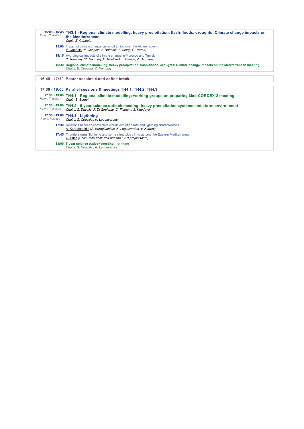| Room: Thalatta1 | 15:00 - 16:45 TH3.1 - Regional climate modelling, heavy precipitation, flash-floods, droughts: Climate change impacts on<br>the Mediterranean<br>Chair: E. Coppola     |
|-----------------|------------------------------------------------------------------------------------------------------------------------------------------------------------------------|
|                 | 15:00 Impact of climate change on runoff timing over the Alpine region<br>E. Coppola (E. Coppola, F. Raffaele, F. Giorgi, C. Torma)                                    |
|                 | 15:15 Hydrological impacts of climate change in Morocco and Tunisia<br>Y. Tramblay (Y. Tramblay, D. Ruelland, L. Hanich, Z. Bargaoui)                                  |
|                 | 15:30 Regional climate modelling, heavy precipitation, flash-floods, droughts: Climate change impacts on the Mediterranean meeting<br>Chairs: E. Coppola, Y. Tramblay  |
|                 | 16:45 - 17:30 Poster session 4 and coffee break                                                                                                                        |
|                 | 17:30 - 19:00 Parallel sessions & meetings TH4.1, TH4.2, TH4.3                                                                                                         |
| Room: Thalatta1 | 17:30 - 19:00 TH4.1 - Regional climate modelling: working groups on preparing Med-CORDEX-2 meeting<br>Chair: S. Somot                                                  |
| Room: Thalatta2 | 17:30 - 19:00 TH4.2 - 5-year science outlook meeting: heavy precipitation systems and storm environment<br>Chairs: S. Davolio, P. Di Girolamo, C. Flamant, S. Khodavar |
| Room: Pelagos   | 17:30 - 19:00 TH4.3 - Ligthning<br>Chairs: S. Coquillat, K. Lagouvardos                                                                                                |
|                 | 17:30 Relations between convective clouds evolution rate and lightning characteristics<br>A. Karagiannidis (A. Karagiannidis, K. Lagouvardos, V. Kotroni)              |
|                 | 17:45 Thunderstorms, lightning and sprite climatology in Israel and the Eastern Mediterranean<br>C. Price (Colin Price Yoav Yair and the ILAN project team)            |
|                 | 18:00 5-year science outlook meeting: ligthning<br>Chairs: S. Coquillat, K. Lagouvardos                                                                                |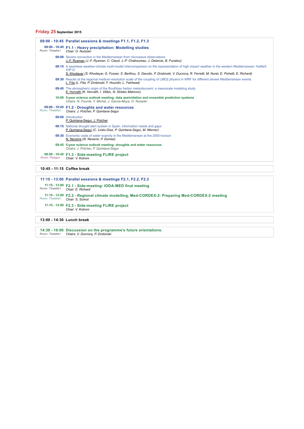## **Friday 25 September 2015**

|                            | 09:00 - 10:45 Parallel sessions & meetings F1.1, F1.2, F1.3                                                                                                                                        |
|----------------------------|----------------------------------------------------------------------------------------------------------------------------------------------------------------------------------------------------|
| Room: Thalatta1            | 09:00 - 10:45 F1.1 - Heavy precipitation: Modelling studies<br>Chair: O. Nuissier                                                                                                                  |
|                            | 09:00 Severe convection in the Mediterranean from microwave observations<br>J.-F. Rysman (J.-F. Rysman, C. Claud, J.-P. Chaboureau, J. Delanoe, B. Funatsu)                                        |
|                            | 09:15 A seamless weather-climate multi-model intercomparison on the representation of high impact weather in the western Mediterranean: HyMeX<br><b>IOP12</b>                                      |
|                            | S. Khodayar (S. Khodayar, G. Fosser, S. Berthou, S. Davolio, P. Drobinski, V. Ducrocq, R. Ferretti, M. Nuret, E. Pichelli, E. Richard)                                                             |
|                            | 09:30 Results at the regional medium-resolution scale of the coupling of LMDZ physics in WRF for different severe Mediterranean events<br>L. Fita (L. Fita, P. Drobinski, F. Hourdin, L. Fairhead) |
|                            | 09:45 The atmospheric origin of the Boothbay harbor meteotsunami: a mesoscale modeling study<br>K. Horvath (K. Horvath, I. Vilibic, N. Strelec Mahovic)                                            |
|                            | 10:00 5-year science outlook meeting: data assimilation and ensemble prediction systems<br>Chairs: N. Fourrié, Y. Michel, J. Garcia-Moya, O. Nuissier                                              |
| Room: Thalatta2            | 09:00 - 10:45 F1.2 - Droughts and water resources<br>Chairs: J. Polcher, P. Quintana-Segui                                                                                                         |
|                            | 09:00 Introduction<br>P. Quintana-Sequi, J. Polcher                                                                                                                                                |
|                            | 09:15 National drought alert system in Spain: information needs and gaps<br>P. Quintana-Sequí (C. Linés Díaz, P. Quintana-Sequí, M. Werner)                                                        |
|                            | 09:30 Economic costs of water scarcity in the Mediterranean at the 2050 horizon<br>N. Neverre (N. Neverre, P. Dumas)                                                                               |
|                            | 09:45 5-year science outlook meeting: droughts and water resources<br>Chairs: J. Polcher, P. Quintana-Sequi                                                                                        |
| Room: Pelagos              | 09:00 - 10:45 F1.3 - Side-meeting FLIRE project<br>Chair: V. Kotroni                                                                                                                               |
| 10:45 - 11:15 Coffee break |                                                                                                                                                                                                    |
|                            | 11:15 - 13:00 Parallel sessions & meetings F2.1, F2.2, F2.3                                                                                                                                        |

11:15 - 13:00 **F2.1 - Side-meeting: IODA-MED final meeting**<br>Room: Thalatta1 Chair: E. Richard **11:15 - 13:00** *Room: Thalatta2* **F2.2 - Regional climate modelling, Med-CORDEX-2: Preparing Med-CORDEX-2 meeting** *Chair: S. Somot* **11:15 - 13:00 F2.3 - Side-meeting FLIRE project** *Chair: V. Kotroni*

**13:00 - 14:30 Lunch break**

**14:30 - 16:00** *Room: Thalatta1* **Discussion on the programme's future orientations.** *Chairs: V. Ducrocq, P. Drobinski*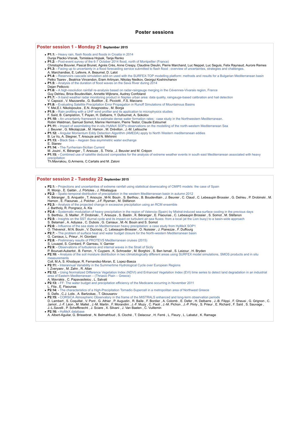#### **Poster session 1 - Monday 21 September 2015**

- **P1.1:** Heavy rain, flash floods and floods in Croatia in 2014
- Dunja Placko-Vrsnak, Tomislava Hojsak, Tanja Renko **P1.2:** Post-event survey of the 6-7 October 2014 flood, north of Montpellier (France)
- 
- Christophe Bouvier, Pascal Brunet, Agnès Crès, Anne Crespy, Claudine Dieulin, Pierre Marchand, Luc Neppel, Luc Seguis, Felix Raynaud, Aurore Remes<br>**P1.3:** Facing up to uncertainty in a flood forecasting service submitted
- A. Marchandise, E. Lefevre, A. Beaumel, D. Lalot **P1.4:** Reservoirs cascade simulation add-on used with the SURFEX-TOP modelling platform: methods and results for a Bulgarian Mediterranean basin Petko Tsarev , Beatrice Vincendon, Eram Artinyan, Nikolay Nedkov, Georgui Koshinchanov
- **P1.5: -** Analysis of the duration of flood waves on the Sava River during 2014
- Dejan Petkovic
- **P1.6: A high-resolution rainfall re-analysis based on radar-raingauge merging in the Cévennes-Vivarais region, France**
- Guy Delrieu, Brice Boudevillain, Annette Wijbrans, Audrey Confoland **P1.7:** - X-band weather radar monitoring product in Naples urban area: data quality, raingauge-based calibration and hail detection<br>V. Capozzi , V. Mazzarella , G. Budillon , E. Picciotti , F.S. Marzano<br>**P1.8:** - Evaluati
- 
- 
- Y. Mei,E.I. Nikolopoulos , E.N. Anagnostou , M. Borga **P1.9:** Rain profiling with a UHF wind profiler and its application to microphysics studies
- 
- F. Saïd, B. Campistron, T. Payan, H. Delbarre, Y. Dufournet, A. Sokolov **P1.10:** An uncertainty framework to estimate dense water formation rates : case study in the Northwestern Mediterranean.
- Robin Waldman, Samuel Somot, Marine Herrmann, Pierre Testor, Claude Estournel **P1.11: -** Impact of assimilating the in-situ HyMeX SOP's observations on the modelling of the north-western Mediterranean Sea
- 
- J. Beuvier , G. Mikolajczak , M. Hamon , M. Drévillon , J.-M. Lellouche **P1.12:** Angular Momentum Eddy Detection Algorithm (AMEDA) apply to North Western mediterranean eddies
- B. Le Vu, A. Stegner, T. Arsouze and N. Mkhinini **P1.13:** Black Sea Aegean Sea asymmetric water exchange
- 
- E. Stanev
- 
- **P1.14: -** The-Tyrrhenian-Sicilian Current<br>M. Jouini , K. Béranger , T. Arsouze , S. Thiria , J. Beuvier and M. Crépon<br>**P1.15: -** Combined use of satellite deduced composites for the analysis of extreme weather events in s

precipitation Th.Mavrakou, G.Armenis, C.Cartalis and M. Zaloni

## **Poster session 2 - Tuesday 22 September 2015**

- **P2.1:** Projections and uncertainties of extreme rainfall using statistical downscaling of CMIP5 models: the case of Spain
- 
- R. Monjo , E. Gaitán , J. Pórtoles , J. Ribalaygua<br>**P2.2:** Spatio-temporal distribution of precipitation in the western Mediterranean basin in autumn 2012<br>K. Béranger , S. Anquetin , T. Arsouze , M-N. Bouin , S. Berthou
- J. Bartholy, R. Pongracz, A. Kis
- **P2.4:** Systematic modulation of heavy precipitation in the region of Valencia (Spain) by Mistral-induced sea-surface cooling in the previous days
- 
- S. Berthou , S. Mailler , P. Drobinski , T. Arsouze , S. Bastin , K. Béranger , E. Flaounas , C. Lebeaupin Brossier , S. Somot , M. Stéfanon<br>**P2.5:** Insights on the SST diurnal cycle and its impact on turbulent air-sea f
- 
- **P2.6:** Influence of the sea state on Mediterranean heavy precipitation: a case study from HyMeX SOP1
- O. Thévenot , M.N. Bouin , V. Ducrocq , C. Lebeaupin-Brossier , O. Nuissier , J. Pianezze , F. Duffourg **P2.7:** The problem of surface heat and water budget closure for the North-western Mediterranean basin
- 
- G. Caniaux, L. Prieur , H. Giordani
- **P2.8:** Preliminary results of PROTEVS Mediterranean cruises (2015)
- 
- 
- S. Louazel, S. Corréard, P. Garreau, V. Garnier<br>**P2.9:** Observations of turbulence and internal waves in the Strait of Sicily<br>P. Bouruet-Aubertot , B. Ferron , Y. Cuypers , K. Schroeder , M. Borghini , S. Ben Ismail , S.
- measurements
- Coll, M.A, S. Khodayar, R. Fernandez-Moran, E. Lopez-Baeza
- **P2.11:** Interannual Variability in the Summertime Hydrological Cycle over European Regions
- Zveryaev, M. Zahn, R. Allan
- **P2.12: -** Using Normalized Difference Vegetation Index (NDVI) and Enhanced Vegetation Index (EVI) time series to detect land degradation in an industrial<br>area of Eastern Mediterranean (Thriasio Plain Greece)
- A. Mavrakis , C. Papavasileiou , L. Salvati<br>• P2.13: FF: The water budget and precipit The water budget and precipitation efficiency of the Medicane occurring in November 2011
- L. Fita , E. Flaounas
- 
- 
- **P2.14:** The characteristics of a High-Precipitation Tornadic-Supercell in a metropolitan area of Northwest Greece<br>S. Dafis , C.J. Lolis , A. Bartzokas , T. Gkousarov<br>P2.15: CORSiCA Atmospheric Observatory in the frame
- **P2.16:** HyMeX database
- A. Albert-Aguilar, G. Brissebrat , N. Belmahfoud , S. Cloché , T. Delacour , H. Ferré , L. Fleury , L. Labatut , K. Ramage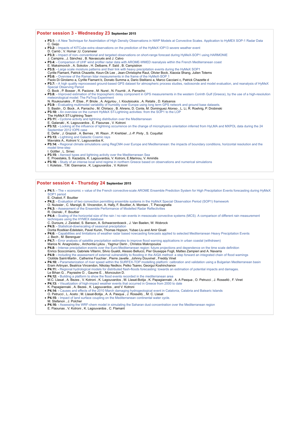#### **Poster session 3 - Wednesday 23 September 2015**

- **P3.1:** A New Technique for Assimilation of High Density Observations in NWP Models at Convective Scales. Application to HyMEX SOP-1 Radar Data
- 
- C. Geijo **P3.2:** Impacts of KITCube extra observations on the prediction of the HyMeX IOP13 severe weather event
- 
- D. Carrió ; V. Homar ;U. Corsmeier **P3.3:** Impact of non--conventional and targeted observations on short-range forecast during HyMeX-SOP1 using HARMONIE
- J. Campins , J. Sánchez , B. Navascués and J. Calvo **P3.4: -** Comparison of UHF wind profiler radar data with AROME-WMED reanalysis within the French Mediterranean coast
- E. Maksimovich , A. Sokolov , H. Delbarre, F. Saïd , B. Campistron
- **P3.5:** Large scale moisture patterns and their link with heavy precipitation events during the HyMeX SOP1 Cyrille Flamant, Patrick Chazette, Keun-Ok Lee , Jean-Christophe Raut, Olivier Bock, Xiaoxia Shang, Julien Totems
- **P3.6:** Overview of the Raman lidar measurements in the frame of the HyMeX-SOP 1
- Paolo Di Girolamo a, Cyrille Flamant b, Donato Summa a, Dario Stelitano a, Marco Cacciani c, Patrick Chazette d
- **P3.7:** A high quality reprocessed ground-based GPS dataset for atmospheric process studies, radiosonde and model evaluation, and reanalysis of HyMeX Special Observing Period
- O. Bock , P. Bosser , R. Pacione , M. Nuret , N. Fourrié , A. Parracho **P3.8: -** Improved estimation of the tropospheric delay component in GPS measurements in the western Corinth Gulf (Greece), by the use of a high-resolution meteorological model: The PaTrop Experiment
- N. Roukounakis , P. Elias , P. Briole , A. Argyriou , I. Kioutsioukis , A. Retalis , D. Katsanos
- 
- **P3.9:** Evaluating multimodel variability of humidity over Europe using long term GPS network and ground base datasets.<br>S. Bastin , O. Bock , A. Parracho , M. Chiriaco , B. Ahrens, D. Conte, M. Dominguez Alonso , L. Li,
- The HyMeX ST-Lightning Team
- **P3.11: -** Cyclone activity and lightning distribution over the Mediterranean E. Galanaki , K. Lagouvardos , E. Flaounas , V. Kotroni
- **P3.12:** Looking at the influence of lightning occurrence on the change of microphysics orientation inferred from HyLMA and MXPOL data during the 24 September 2012 IOP6 case
- E. Defer , J. Grazioli , A. Bernes , W. Rison , P. Krehbiel , J.-P. Pinty , S. Coquillat
- **P3.13:** Lightning and Galactic Cosmic rays Mavrakis A., Kotroni V., Lagouvardos K.
- P3.14: Regional climate simulations using RegCM4 over Europe and Mediterranean: the impacts of boundary conditions, horizontal resolution and the model time-step
- 
- I. Güttler , L. Srnec **P3.15:** Aerosol types and lightning activity over the Mediterranean Sea
- E. Proestakis, S. Kazadzis, K. Lagouvardos, V. Kotroni, E.Marinou, V. Amiridis **P3.16: -** Study of an intense local wind regime in northern Greece based on observations and numerical simulations
- I. Koletsis , T.M. Giannaros , K. Lagouvardos , V. Kotroni

#### **Poster session 4 - Thursday 24 September 2015**

- P4.1: The « economic » value of the French convective-scale AROME Ensemble Prediction System for High Precipitation Events forecasting during HyMeX SOP1 period
- E. Chabot, F. Bouttier
- **P4.2:** Evaluation of two convection permitting ensemble systems in the HyMeX Special Observation Period (SOP1) framework<br>O. Nuissier , C. Marsigli, B. Vincendon, A. Hally, F. Bouttier, A. Montani , T. Paccagnella
- 
- **P4.3: Assessment of the Ensemble Performance of Modelled Radar Reflectiviti**
- R. Osinski , F. Bouttier
- P4.4: Scaling of the horizontal size of the rain / no rain events in mesoscale convective systems (MCS). A comparison of different rain measurement techniques using the HYMEX database
- C. Duroure, J. Zwiebel, S. Banson, A. Schwarzenboeck , J. Van Baelen, W. Wobrock
- **P4.5:** Statistical-downscaling of seasonal precipitation
- Dorita Rostkier-Edelstein, Pavel Kunin, Thomas Hopson, Yubao Liu and Amir Givati<br>**P4.6:** Capabilities and limitations of weather radar based nowcasting forecasts applied to selected Mediterranean Heavy Precipitation Even
- J. Bech , M. Berenguer
- **P4.7: -** Error analysis of satellite precipitation estimates to improve flood warning applications in urban coastal (withdrawn)
- 
- Marios N. Anagnostou , Archontia Lykou , Yagmur Derin , Christos Makropoulos<br>**P4.8:** Intense precipitation events over the Euro-Mediterranean region: future projections and dependence on the time scale definition
- Enrico Scoccimarro, Gabriele Villarini, Silvio Gualdi, Alessio Bellucci, Pier Giuseppe Fogli, Matteo Zampieri and A. Navarra<br>P4.9: Including the assessment of external vulnerability to flooding in the AIGA method: a step
- 
- Clotilde Saint-Martin , Catherine Fouchier , Pierre Javelle , Johnny Douvinet , Freddy Vinet<br>**P4.10:** Parameterization of river speed within the SURFEX-TOP modelling platform: calibration and validation using a Bulgarian Eram Artinyan, Beatrice Vincendon, Nikolay Nedkov, Petko Tsarev, Georgui Koshinchanov
- **P4.11:** Regional hydrological models for distributed flash-floods forecasting: towards an estimation of potential impacts and damages.
- 
- Le Bihan G. , Payrastre O. , Gaume E. , Moncoulon D. **P4.12:** Building a platform to show the flood events recorded in the mediterranean area
- M.C. Llasat , A. Bezes , V. Kotroni , K. Lagouvardos , M. Llasat-Botija , K. Papagiannaki , A. A Pasqua , O. Petrucci , J. Rosselló , F. Vinet<br>**P4.13:** Visualization of high-impact weather events that occurred in Greece
- K. Papagiannaki , A. Bezes , K. Lagouvardos , and V. Kotroni
- **P4.14: -** Causes and effects of the 2010 March damaging hydrogeological event in Catalonia, Calabria and Balearic Islands<br>O. Petrucci , L. Aceto ; M. Llasat-Botija , A. A. Pasqua , J. Rosselló , , M. C. Llasat<br>**P4.15: -**
- 
- 
- M. Stefanon , J. Polcher
- **P4.16:** Assessing the WRF-chem model in simulating the Saharan dust concentration over the Mediterranean region E. Flaounas , V. Kotroni , K. Lagouvardos , C. Flamant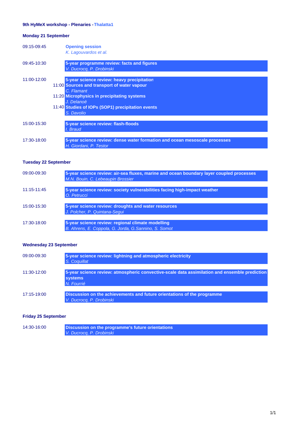## 9th HyMeX workshop - Plenaries - Thalatta1

## **Monday 21 September**

| 09:15-09:45 | <b>Opening session</b><br>K. Lagouvardos et al.                                                                                                                                                                                         |
|-------------|-----------------------------------------------------------------------------------------------------------------------------------------------------------------------------------------------------------------------------------------|
| 09:45-10:30 | 5-year programme review: facts and figures<br>V. Ducrocq, P. Drobinski                                                                                                                                                                  |
| 11:00-12:00 | 5-year science review: heavy precipitation<br>11:00 Sources and transport of water vapour<br>C. Flamant<br>11:20 Microphysics in precipitating systems<br>J. Delanoë<br>11:40 Studies of IOPs (SOP1) precipitation events<br>S. Davolio |
| 15:00-15:30 | 5-year science review: flash-floods<br>I. Braud                                                                                                                                                                                         |
| 17:30-18:00 | 5-year science review: dense water formation and ocean mesoscale processes<br>H. Giordani, P. Testor                                                                                                                                    |

## **Tuesday 22 September**

| 09:00-09:30     | 5-year science review: air-sea fluxes, marine and ocean boundary layer coupled processes<br>M.N. Bouin, C. Lebeaupin Brossier |
|-----------------|-------------------------------------------------------------------------------------------------------------------------------|
| $11:15 - 11:45$ | 5-year science review: society vulnerabilities facing high-impact weather<br>O. Petrucci                                      |
| 15:00-15:30     | 5-year science review: droughts and water resources<br>J. Polcher, P. Quintana-Sequi                                          |
| 17:30-18:00     | 5-year science review: regional climate modelling<br>B. Ahrens, E. Coppola, G. Jorda, G. Sannino, S. Somot                    |

## **Wednesday 23 September**

| 09:00-09:30 | 5-year science review: lightning and atmospheric electricity<br>S. Coquillat                                                  |
|-------------|-------------------------------------------------------------------------------------------------------------------------------|
| 11:30-12:00 | 5-year science review: atmospheric convective-scale data assimilation and ensemble prediction<br><b>systems</b><br>N. Fourrié |
| 17:15-19:00 | Discussion on the achievements and future orientations of the programme<br>V Ducroca P Drobinski                              |

## **Friday 25 September**

| 14:30-16:00 | Discussion on the programme's future orientations |
|-------------|---------------------------------------------------|
|             | V. Ducrocq, P. Drobinski                          |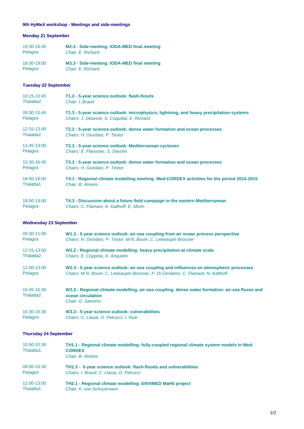## 9th HyMeX workshop - Meetings and side-meetings

## **Monday 21 September**

| 15:30-16:45 | M2.3 - Side-meeting: IODA-MED final meeting |
|-------------|---------------------------------------------|
| Pelagos     | Chair: E. Richard                           |
| 18:00-19:00 | M3.3 - Side-meeting: IODA-MED final meeting |
| Pelagos     | Chair: E. Richard                           |

## **Tuesday 22 September**

| 10:15-10:45           | T1.2 - 5-year science outlook: flash-floods                                               |
|-----------------------|-------------------------------------------------------------------------------------------|
| Thalatta <sub>2</sub> | Chair: I. Braud                                                                           |
| 09:30-10:45           | T1.3 - 5-year science outlook: microphysics, lightning, and heavy precipitation systems   |
| <b>Pelagos</b>        | Chairs: J. Delanoë, S. Coquillat, E. Richard                                              |
| 12:15-13:00           | T2.2 - 5-year science outlook: dense water formation and ocean processes                  |
| Thalatta <sub>2</sub> | Chairs: H. Giordani, P. Testor                                                            |
| 11:45-13:00           | T2.3 - 5-year science outlook: Mediterranean cyclones                                     |
| <b>Pelagos</b>        | Chairs: E. Flaounas, S. Davolio                                                           |
| 15:30-16:45           | T3.3 - 5-year science outlook: dense water formation and ocean processes                  |
| <b>Pelagos</b>        | Chairs: H. Giordani, P. Testor                                                            |
| 18:00-19:00           | T4.1 - Regional climate modelling meeting: Med-CORDEX activities for the period 2010-2015 |
| Thalatta1             | Chair: B. Ahrens                                                                          |
| 18:00-19:00           | T4.3 - Discussion about a future field campaign in the eastern Mediterranean              |
| <b>Pelagos</b>        | Chairs: C. Flamant, N. Kalthoff, E. Morin                                                 |

## **Wednesday 23 September**

| 09:30-11:00                          | W1.3 - 5-year science outlook: air-sea coupling from an ocean process perspective                                                        |
|--------------------------------------|------------------------------------------------------------------------------------------------------------------------------------------|
| Pelagos                              | Chairs: H. Giordani, P. Testor, M.N. Bouin, C. Lebeaupin Brossier                                                                        |
| 12:15-13:00                          | W2.2 - Regional climate modelling: heavy precipitation at climate scale                                                                  |
| Thalatta <sub>2</sub>                | Chairs: E. Coppola, S. Anguetin                                                                                                          |
| 12:00-13:00                          | W2.3 - 5-year science outlook: air-sea coupling and influences on atmospheric processes                                                  |
| Pelagos                              | Chairs: M.N. Bouin, C. Lebeaupin-Brossier, P. Di Girolamo, C. Flamant, N. Kalthoff                                                       |
| 15:45-16:30<br>Thalatta <sub>2</sub> | W3.2 - Regional climate modelling, air-sea coupling, dense water formation: air-sea fluxes and<br>ocean circulation<br>Chair: G. Sannino |
| 15:30-16:30                          | W3.3 - 5-year science outlook: vulnerabilities                                                                                           |
| Pelagos                              | Chairs: C. Llasat, O. Petrucci, I. Ruin                                                                                                  |

## **Thursday 24 September**

| 10:00-10:30<br>Thalatta1 | TH1.1 - Regional climate modelling: fully-coupled regional climate system models in Med-<br><b>CORDEX</b><br>Chair: B. Ahrens |
|--------------------------|-------------------------------------------------------------------------------------------------------------------------------|
| 09:00-10:30              | TH1.3 - 5-year science outlook: flash-floods and vulnerabilities                                                              |
| Pelagos                  | Chairs: I. Braud. C. Llasat. O. Petrucci                                                                                      |
| 12:00-13:00              | TH2.1 - Regional climate modelling: ENVIMED MaHb project                                                                      |
| Thalatta1                | Chair: K. von Schuckmann                                                                                                      |